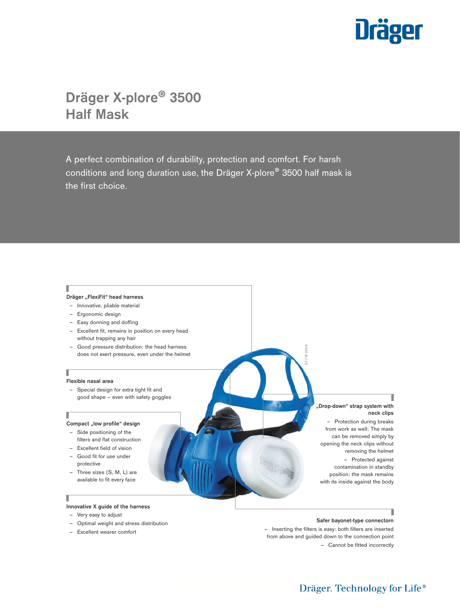

# Dräger X-plore® 3500 Half Mask

A perfect combination of durability, protection and comfort. For harsh conditions and long duration use, the Dräger X-plore® 3500 half mask is the first choice.

I

Г

### **Dräger "FlexiFit" head harness**

- Innovative, pliable material
- Ergonomic design
- Easy donning and doffing
- Excellent fit, remains in position on every head without trapping any hair
- Good pressure distribution: the head harness does not exert pressure, even under the helmet

### **Flexible nasal area**

– Special design for extra tight fit and good shape – even with safety goggles

### Compact "low profile" design

- Side positioning of the filters and flat construction
- Excellent field of vision
- Good fit for use under
- protective – Three sizes (S, M, L) are
- available to fit every face

### Γ

### **Innovative X guide of the harness**

- Very easy to adjust
- Optimal weight and stress distribution
- Excellent wearer comfort

### **"Drop-down" strap system with neck clips**

– Protection during breaks from work as well: The mask can be removed simply by opening the neck clips without removing the helmet – Protected against contamination in standby position: the mask remains with its inside against the body

### **Safer bayonet-type connectorn**

L

– Inserting the filters is easy: both filters are inserted from above and guided down to the connection point – Cannot be fitted incorrectly

ST-718-2006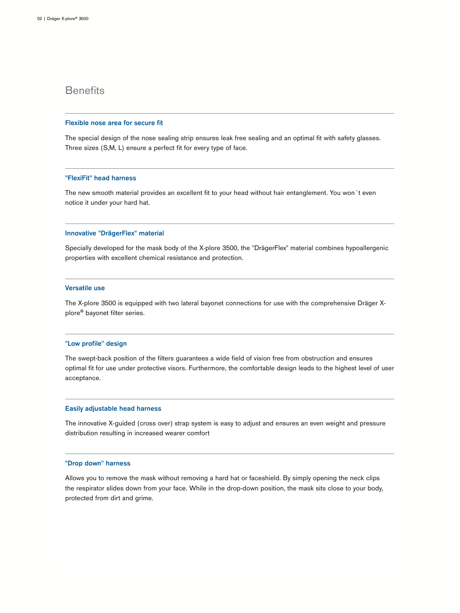# **Benefits**

### Flexible nose area for secure fit

The special design of the nose sealing strip ensures leak free sealing and an optimal fit with safety glasses. Three sizes (S,M, L) ensure a perfect fit for every type of face.

### "FlexiFit" head harness

The new smooth material provides an excellent fit to your head without hair entanglement. You won´t even notice it under your hard hat.

### Innovative "DrägerFlex" material

Specially developed for the mask body of the X-plore 3500, the "DrägerFlex" material combines hypoallergenic properties with excellent chemical resistance and protection.

### Versatile use

The X-plore 3500 is equipped with two lateral bayonet connections for use with the comprehensive Dräger Xplore® bayonet filter series.

### "Low profile" design

The swept-back position of the filters guarantees a wide field of vision free from obstruction and ensures optimal fit for use under protective visors. Furthermore, the comfortable design leads to the highest level of user acceptance.

### Easily adjustable head harness

The innovative X-guided (cross over) strap system is easy to adjust and ensures an even weight and pressure distribution resulting in increased wearer comfort

### "Drop down" harness

Allows you to remove the mask without removing a hard hat or faceshield. By simply opening the neck clips the respirator slides down from your face. While in the drop-down position, the mask sits close to your body, protected from dirt and grime.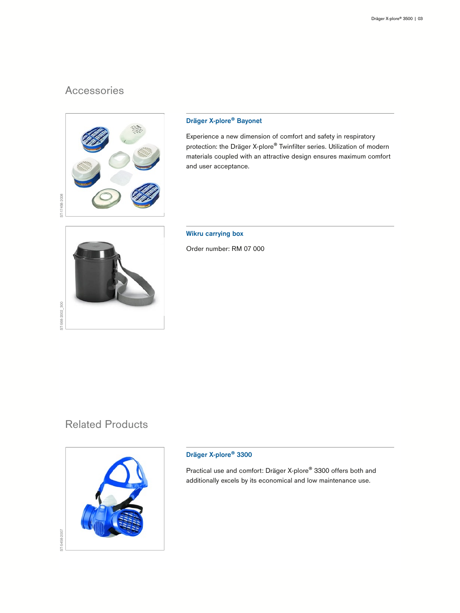# Accessories



### Dräger X-plore® Bayonet

Experience a new dimension of comfort and safety in respiratory protection: the Dräger X-plore® Twinfilter series. Utilization of modern materials coupled with an attractive design ensures maximum comfort and user acceptance.

ST-568-2002\_300 ST-568-2002\_300

Wikru carrying box

Order number: RM 07 000

# Related Products



### Dräger X-plore® 3300

Practical use and comfort: Dräger X-plore® 3300 offers both and additionally excels by its economical and low maintenance use.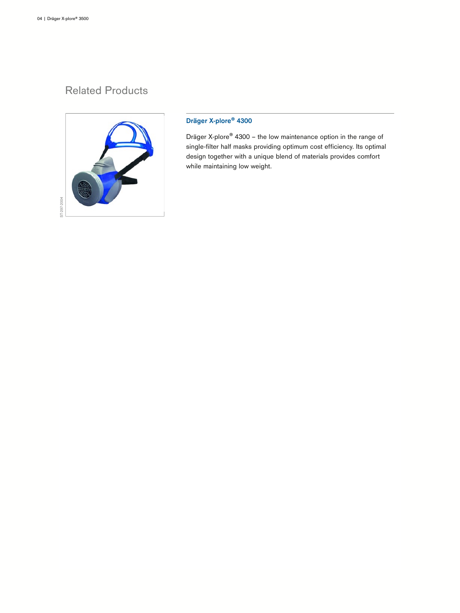# Related Products



## Dräger X-plore® 4300

Dräger X-plore® 4300 – the low maintenance option in the range of single-filter half masks providing optimum cost efficiency. Its optimal design together with a unique blend of materials provides comfort while maintaining low weight.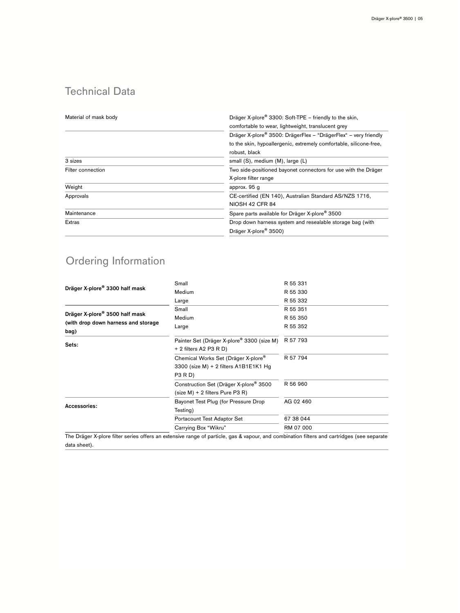# Technical Data

| Material of mask body | Dräger X-plore <sup>®</sup> 3300: Soft-TPE - friendly to the skin, |  |
|-----------------------|--------------------------------------------------------------------|--|
|                       | comfortable to wear, lightweight, translucent grey                 |  |
|                       | Dräger X-plore® 3500: DrägerFlex - "DrägerFlex" - very friendly    |  |
|                       | to the skin, hypoallergenic, extremely comfortable, silicone-free, |  |
|                       | robust, black                                                      |  |
| 3 sizes               | small (S), medium (M), large (L)                                   |  |
| Filter connection     | Two side-positioned bayonet connectors for use with the Dräger     |  |
|                       | X-plore filter range                                               |  |
| Weight                | approx. 95 g                                                       |  |
| Approvals             | CE-certified (EN 140), Australian Standard AS/NZS 1716,            |  |
|                       | NIOSH 42 CFR 84                                                    |  |
| Maintenance           | Spare parts available for Dräger X-plore <sup>®</sup> 3500         |  |
| <b>Extras</b>         | Drop down harness system and resealable storage bag (with          |  |
|                       | Dräger X-plore <sup>®</sup> 3500)                                  |  |

# Ordering Information

| Dräger X-plore <sup>®</sup> 3300 half mask  | Small                                                                            | R 55 331  |
|---------------------------------------------|----------------------------------------------------------------------------------|-----------|
|                                             | Medium                                                                           | R 55 330  |
|                                             | Large                                                                            | R 55 332  |
| Dräger X-plore <sup>®</sup> 3500 half mask  | Small                                                                            | R 55 351  |
|                                             | Medium                                                                           | R 55 350  |
| (with drop down harness and storage<br>bag) | Large                                                                            | R 55 352  |
| Sets:                                       | Painter Set (Dräger X-plore <sup>®</sup> 3300 (size M)<br>+ 2 filters A2 P3 R D) | R 57 793  |
|                                             | Chemical Works Set (Dräger X-plore®                                              | R 57 794  |
|                                             | 3300 (size M) + 2 filters A1B1E1K1 Hg<br><b>P3 R D)</b>                          |           |
|                                             | Construction Set (Dräger X-plore <sup>®</sup> 3500                               | R 56 960  |
|                                             | (size M) + 2 filters Pure P3 R)                                                  |           |
| Accessories:                                | Bayonet Test Plug (for Pressure Drop                                             | AG 02 460 |
|                                             | Testing)                                                                         |           |
|                                             | Portacount Test Adaptor Set                                                      | 67 38 044 |
|                                             | Carrying Box "Wikru"                                                             | RM 07 000 |
|                                             |                                                                                  |           |

The Dräger X-plore filter series offers an extensive range of particle, gas & vapour, and combination filters and cartridges (see separate data sheet).